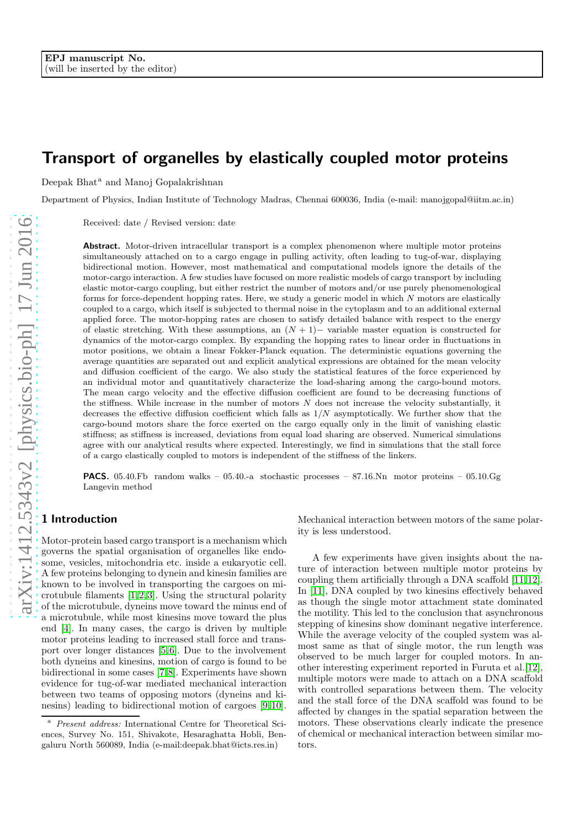# Transport of organelles by elastically coupled motor proteins

Deepak Bhat<sup>a</sup> and Manoj Gopalakrishnan

Department of Physics, Indian Institute of Technology Madras, Chennai 600036, India (e-mail: manojgopal@iitm.ac.in)

Received: date / Revised version: date

Abstract. Motor-driven intracellular transport is a complex phenomenon where multiple motor proteins simultaneously attached on to a cargo engage in pulling activity, often leading to tug-of-war, displaying bidirectional motion. However, most mathematical and computational models ignore the details of the motor-cargo interaction. A few studies have focused on more realistic models of cargo transport by including elastic motor-cargo coupling, but either restrict the number of motors and/or use purely phenomenological forms for force-dependent hopping rates. Here, we study a generic model in which N motors are elastically coupled to a cargo, which itself is subjected to thermal noise in the cytoplasm and to an additional external applied force. The motor-hopping rates are chosen to satisfy detailed balance with respect to the energy of elastic stretching. With these assumptions, an  $(N + 1)$  variable master equation is constructed for dynamics of the motor-cargo complex. By expanding the hopping rates to linear order in fluctuations in motor positions, we obtain a linear Fokker-Planck equation. The deterministic equations governing the average quantities are separated out and explicit analytical expressions are obtained for the mean velocity and diffusion coefficient of the cargo. We also study the statistical features of the force experienced by an individual motor and quantitatively characterize the load-sharing among the cargo-bound motors. The mean cargo velocity and the effective diffusion coefficient are found to be decreasing functions of the stiffness. While increase in the number of motors  $N$  does not increase the velocity substantially, it decreases the effective diffusion coefficient which falls as  $1/N$  asymptotically. We further show that the cargo-bound motors share the force exerted on the cargo equally only in the limit of vanishing elastic stiffness; as stiffness is increased, deviations from equal load sharing are observed. Numerical simulations agree with our analytical results where expected. Interestingly, we find in simulations that the stall force of a cargo elastically coupled to motors is independent of the stiffness of the linkers.

**PACS.** 05.40.Fb random walks – 05.40.-a stochastic processes – 87.16.Nn motor proteins – 05.10.Gg Langevin method

## 1 Introduction

Motor-protein based cargo transport is a mechanism which governs the spatial organisation of organelles like endosome, vesicles, mitochondria etc. inside a eukaryotic cell. A few proteins belonging to dynein and kinesin families are known to be involved in transporting the cargoes on microtubule filaments [\[1,](#page-11-0)[2,](#page-11-1)[3\]](#page-11-2). Using the structural polarity of the microtubule, dyneins move toward the minus end of a microtubule, while most kinesins move toward the plus end [\[4\]](#page-11-3). In many cases, the cargo is driven by multiple motor proteins leading to increased stall force and transport over longer distances [\[5,](#page-11-4)[6\]](#page-11-5). Due to the involvement both dyneins and kinesins, motion of cargo is found to be bidirectional in some cases [\[7,](#page-11-6)[8\]](#page-11-7). Experiments have shown evidence for tug-of-war mediated mechanical interaction between two teams of opposing motors (dyneins and kinesins) leading to bidirectional motion of cargoes [\[9,](#page-11-8)[10\]](#page-11-9).

Mechanical interaction between motors of the same polarity is less understood.

A few experiments have given insights about the nature of interaction between multiple motor proteins by coupling them artificially through a DNA scaffold [\[11,](#page-11-10)[12\]](#page-11-11). In [\[11\]](#page-11-10), DNA coupled by two kinesins effectively behaved as though the single motor attachment state dominated the motility. This led to the conclusion that asynchronous stepping of kinesins show dominant negative interference. While the average velocity of the coupled system was almost same as that of single motor, the run length was observed to be much larger for coupled motors. In another interesting experiment reported in Furuta et al.[\[12\]](#page-11-11), multiple motors were made to attach on a DNA scaffold with controlled separations between them. The velocity and the stall force of the DNA scaffold was found to be affected by changes in the spatial separation between the motors. These observations clearly indicate the presence of chemical or mechanical interaction between similar motors.

Present address: International Centre for Theoretical Sciences, Survey No. 151, Shivakote, Hesaraghatta Hobli, Bengaluru North 560089, India (e-mail:deepak.bhat@icts.res.in)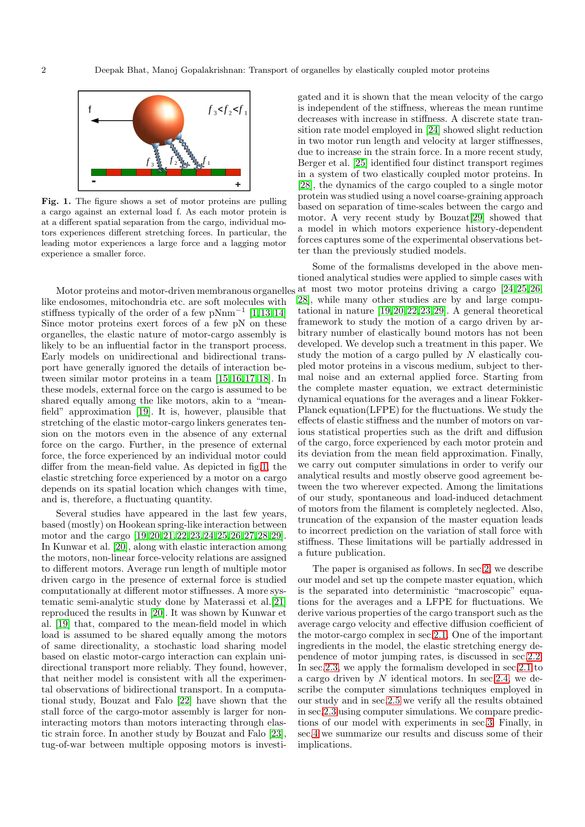

<span id="page-1-0"></span>Fig. 1. The figure shows a set of motor proteins are pulling a cargo against an external load f. As each motor protein is at a different spatial separation from the cargo, individual motors experiences different stretching forces. In particular, the leading motor experiences a large force and a lagging motor experience a smaller force.

like endosomes, mitochondria etc. are soft molecules with stiffness typically of the order of a few pNnm<sup>-1</sup> [\[1,](#page-11-0)[13,](#page-11-12)[14\]](#page-11-13) Since motor proteins exert forces of a few pN on these organelles, the elastic nature of motor-cargo assembly is likely to be an influential factor in the transport process. Early models on unidirectional and bidirectional transport have generally ignored the details of interaction between similar motor proteins in a team [\[15,](#page-11-14)[16,](#page-12-0)[17,](#page-12-1)[18\]](#page-12-2). In these models, external force on the cargo is assumed to be shared equally among the like motors, akin to a "meanfield" approximation [\[19\]](#page-12-3). It is, however, plausible that stretching of the elastic motor-cargo linkers generates tension on the motors even in the absence of any external force on the cargo. Further, in the presence of external force, the force experienced by an individual motor could differ from the mean-field value. As depicted in fig[.1,](#page-1-0) the elastic stretching force experienced by a motor on a cargo depends on its spatial location which changes with time, and is, therefore, a fluctuating quantity.

Several studies have appeared in the last few years, based (mostly) on Hookean spring-like interaction between motor and the cargo [\[19,](#page-12-3)[20,](#page-12-4)[21,](#page-12-5)[22,](#page-12-6)[23,](#page-12-7)[24,](#page-12-8)[25,](#page-12-9)[26,](#page-12-10)[27,](#page-12-11)[28,](#page-12-12)[29\]](#page-12-13). In Kunwar et al. [\[20\]](#page-12-4), along with elastic interaction among the motors, non-linear force-velocity relations are assigned to different motors. Average run length of multiple motor driven cargo in the presence of external force is studied computationally at different motor stiffnesses. A more systematic semi-analytic study done by Materassi et al.[\[21\]](#page-12-5) reproduced the results in [\[20\]](#page-12-4). It was shown by Kunwar et al. [\[19\]](#page-12-3) that, compared to the mean-field model in which load is assumed to be shared equally among the motors of same directionality, a stochastic load sharing model based on elastic motor-cargo interaction can explain unidirectional transport more reliably. They found, however, that neither model is consistent with all the experimental observations of bidirectional transport. In a computational study, Bouzat and Falo [\[22\]](#page-12-6) have shown that the stall force of the cargo-motor assembly is larger for noninteracting motors than motors interacting through elastic strain force. In another study by Bouzat and Falo [\[23\]](#page-12-7), tug-of-war between multiple opposing motors is investigated and it is shown that the mean velocity of the cargo is independent of the stiffness, whereas the mean runtime decreases with increase in stiffness. A discrete state transition rate model employed in [\[24\]](#page-12-8) showed slight reduction in two motor run length and velocity at larger stiffnesses, due to increase in the strain force. In a more recent study, Berger et al. [\[25\]](#page-12-9) identified four distinct transport regimes in a system of two elastically coupled motor proteins. In [\[28\]](#page-12-12), the dynamics of the cargo coupled to a single motor protein was studied using a novel coarse-graining approach based on separation of time-scales between the cargo and motor. A very recent study by Bouzat[\[29\]](#page-12-13) showed that a model in which motors experience history-dependent forces captures some of the experimental observations better than the previously studied models.

Motor proteins and motor-driven membranous organelles at most two motor proteins driving a cargo [\[24,](#page-12-8)[25,](#page-12-9)[26,](#page-12-10) Some of the formalisms developed in the above mentioned analytical studies were applied to simple cases with [28\]](#page-12-12), while many other studies are by and large computational in nature [\[19,](#page-12-3)[20,](#page-12-4)[22,](#page-12-6)[23,](#page-12-7)[29\]](#page-12-13). A general theoretical framework to study the motion of a cargo driven by arbitrary number of elastically bound motors has not been developed. We develop such a treatment in this paper. We study the motion of a cargo pulled by  $N$  elastically coupled motor proteins in a viscous medium, subject to thermal noise and an external applied force. Starting from the complete master equation, we extract deterministic dynamical equations for the averages and a linear Fokker-Planck equation(LFPE) for the fluctuations. We study the effects of elastic stiffness and the number of motors on various statistical properties such as the drift and diffusion of the cargo, force experienced by each motor protein and its deviation from the mean field approximation. Finally, we carry out computer simulations in order to verify our analytical results and mostly observe good agreement between the two wherever expected. Among the limitations of our study, spontaneous and load-induced detachment of motors from the filament is completely neglected. Also, truncation of the expansion of the master equation leads to incorrect prediction on the variation of stall force with stiffness. These limitations will be partially addressed in a future publication.

> The paper is organised as follows. In sec[.2,](#page-2-0) we describe our model and set up the compete master equation, which is the separated into deterministic "macroscopic" equations for the averages and a LFPE for fluctuations. We derive various properties of the cargo transport such as the average cargo velocity and effective diffusion coefficient of the motor-cargo complex in sec[.2.1.](#page-2-1) One of the important ingredients in the model, the elastic stretching energy dependence of motor jumping rates, is discussed in sec[.2.2.](#page-3-0) In sec[.2.3,](#page-4-0) we apply the formalism developed in sec[.2.1](#page-2-1) to a cargo driven by N identical motors. In sec[.2.4,](#page-5-0) we describe the computer simulations techniques employed in our study and in sec[.2.5](#page-5-1) we verify all the results obtained in sec[.2.3](#page-4-0) using computer simulations. We compare predictions of our model with experiments in sec[.3.](#page-8-0) Finally, in sec[.4](#page-8-1) we summarize our results and discuss some of their implications.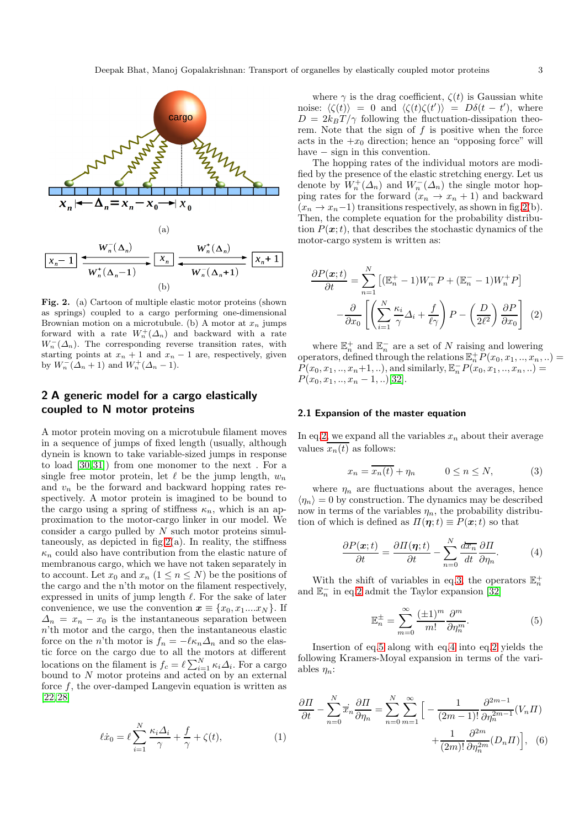

<span id="page-2-2"></span>Fig. 2. (a) Cartoon of multiple elastic motor proteins (shown as springs) coupled to a cargo performing one-dimensional Brownian motion on a microtubule. (b) A motor at  $x_n$  jumps forward with a rate  $W_n^+(\Delta_n)$  and backward with a rate  $W_n^{-}(\Delta_n)$ . The corresponding reverse transition rates, with starting points at  $x_n + 1$  and  $x_n - 1$  are, respectively, given by  $W_n(\Lambda_n+1)$  and  $W_n^+(\Lambda_n-1)$ .

## <span id="page-2-0"></span>2 A generic model for a cargo elastically coupled to N motor proteins

A motor protein moving on a microtubule filament moves in a sequence of jumps of fixed length (usually, although dynein is known to take variable-sized jumps in response to load [\[30,](#page-12-14)[31\]](#page-12-15)) from one monomer to the next . For a single free motor protein, let  $\ell$  be the jump length,  $w_n$ and  $v_n$  be the forward and backward hopping rates respectively. A motor protein is imagined to be bound to the cargo using a spring of stiffness  $\kappa_n$ , which is an approximation to the motor-cargo linker in our model. We consider a cargo pulled by  $N$  such motor proteins simultaneously, as depicted in  $fig.2(a)$  $fig.2(a)$  $fig.2(a)$ . In reality, the stiffness  $\kappa_n$  could also have contribution from the elastic nature of membranous cargo, which we have not taken separately in to account. Let  $x_0$  and  $x_n$   $(1 \le n \le N)$  be the positions of the cargo and the n'th motor on the filament respectively, expressed in units of jump length  $\ell$ . For the sake of later convenience, we use the convention  $x \equiv \{x_0, x_1, \ldots, x_N\}$ . If  $\Delta_n = x_n - x_0$  is the instantaneous separation between n'th motor and the cargo, then the instantaneous elastic force on the n'th motor is  $f_n = -\ell \kappa_n \Delta_n$  and so the elastic force on the cargo due to all the motors at different locations on the filament is  $f_c = \ell \sum_{i=1}^{N} \kappa_i \Delta_i$ . For a cargo bound to N motor proteins and acted on by an external force  $f$ , the over-damped Langevin equation is written as [\[22,](#page-12-6)[28\]](#page-12-12)

<span id="page-2-7"></span>
$$
\ell \dot{x}_0 = \ell \sum_{i=1}^{N} \frac{\kappa_i \Delta_i}{\gamma} + \frac{f}{\gamma} + \zeta(t), \tag{1}
$$

where  $\gamma$  is the drag coefficient,  $\zeta(t)$  is Gaussian white noise:  $\langle \zeta(t) \rangle = 0$  and  $\langle \zeta(t) \zeta(t') \rangle = D\delta(t - t')$ , where  $D = 2k_BT/\gamma$  following the fluctuation-dissipation theorem. Note that the sign of  $f$  is positive when the force acts in the  $+x_0$  direction; hence an "opposing force" will have  $-$  sign in this convention.

The hopping rates of the individual motors are modified by the presence of the elastic stretching energy. Let us denote by  $W_n^+(\Delta_n)$  and  $W_n^-(\Delta_n)$  the single motor hopping rates for the forward  $(x_n \to x_n + 1)$  and backward  $(x_n \rightarrow x_n-1)$  transitions respectively, as shown in fig[.2\(](#page-2-2)b). Then, the complete equation for the probability distribution  $P(x;t)$ , that describes the stochastic dynamics of the motor-cargo system is written as:

<span id="page-2-3"></span>
$$
\frac{\partial P(\boldsymbol{x};t)}{\partial t} = \sum_{n=1}^{N} \left[ (\mathbb{E}_n^+ - 1) W_n^- P + (\mathbb{E}_n^- - 1) W_n^+ P \right] - \frac{\partial}{\partial x_0} \left[ \left( \sum_{i=1}^{N} \frac{\kappa_i}{\gamma} \Delta_i + \frac{f}{\ell \gamma} \right) P - \left( \frac{D}{2\ell^2} \right) \frac{\partial P}{\partial x_0} \right] (2)
$$

where  $\mathbb{E}_n^+$  and  $\mathbb{E}_n^-$  are a set of N raising and lowering operators, defined through the relations  $\mathbb{E}_n^+$   $P(x_0, x_1, \ldots, x_n, \ldots) =$  $P(x_0, x_1, ..., x_n+1, ...)$ , and similarly,  $\mathbb{E}_n^{-} P(x_0, x_1, ..., x_n, ...)$  $P(x_0, x_1, \ldots, x_n - 1, \ldots)$ [\[32\]](#page-12-16).

#### <span id="page-2-1"></span>2.1 Expansion of the master equation

In eq[.2,](#page-2-3) we expand all the variables  $x_n$  about their average values  $\overline{x_n(t)}$  as follows:

<span id="page-2-4"></span>
$$
x_n = \overline{x_n(t)} + \eta_n \qquad 0 \le n \le N,\tag{3}
$$

where  $\eta_n$  are fluctuations about the averages, hence  $\langle \eta_n \rangle = 0$  by construction. The dynamics may be described now in terms of the variables  $\eta_n$ , the probability distribution of which is defined as  $\Pi(\eta;t) \equiv P(\boldsymbol{x};t)$  so that

<span id="page-2-6"></span>
$$
\frac{\partial P(\boldsymbol{x};t)}{\partial t} = \frac{\partial \Pi(\boldsymbol{\eta};t)}{\partial t} - \sum_{n=0}^{N} \frac{d\overline{x_{n}}}{dt} \frac{\partial \Pi}{\partial \eta_{n}}.
$$
 (4)

With the shift of variables in eq[.3,](#page-2-4) the operators  $\mathbb{E}_n^+$ and  $\mathbb{E}_n^-$  in eq[.2](#page-2-3) admit the Taylor expansion [\[32\]](#page-12-16)

<span id="page-2-5"></span>
$$
\mathbb{E}_n^{\pm} = \sum_{m=0}^{\infty} \frac{(\pm 1)^m}{m!} \frac{\partial^m}{\partial \eta_n^m}.
$$
 (5)

Insertion of eq[.5](#page-2-5) along with eq[.4](#page-2-6) into eq[.2](#page-2-3) yields the following Kramers-Moyal expansion in terms of the variables  $\eta_n$ :

$$
\frac{\partial \Pi}{\partial t} - \sum_{n=0}^{N} \overline{x}_n \frac{\partial \Pi}{\partial \eta_n} = \sum_{n=0}^{N} \sum_{m=1}^{\infty} \left[ -\frac{1}{(2m-1)!} \frac{\partial^{2m-1}}{\partial \eta_n^{2m-1}} (V_n \Pi) + \frac{1}{(2m)!} \frac{\partial^{2m}}{\partial \eta_n^{2m}} (D_n \Pi) \right], \quad (6)
$$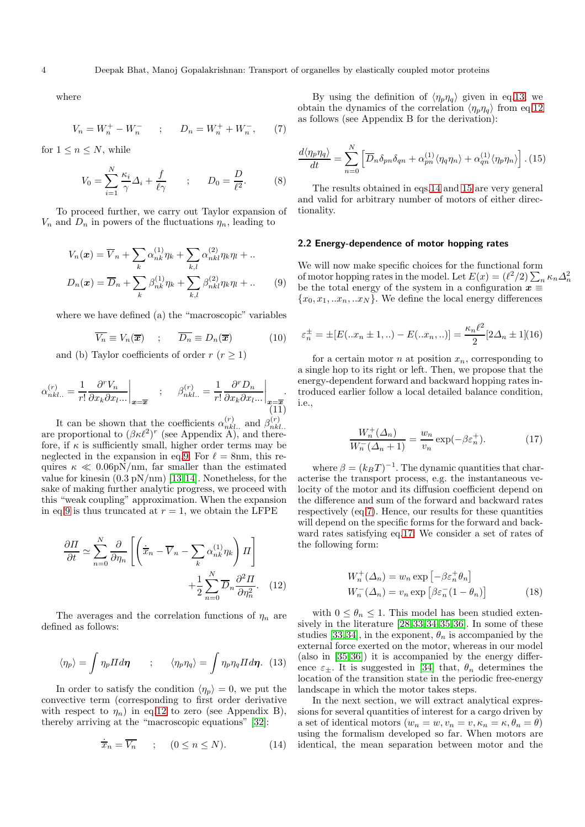where

<span id="page-3-6"></span>
$$
V_n = W_n^+ - W_n^- \qquad ; \qquad D_n = W_n^+ + W_n^-, \qquad (7)
$$

for  $1 \leq n \leq N$ , while

<span id="page-3-10"></span>
$$
V_0 = \sum_{i=1}^N \frac{\kappa_i}{\gamma} \Delta_i + \frac{f}{\ell \gamma} \qquad ; \qquad D_0 = \frac{D}{\ell^2}.
$$
 (8)

To proceed further, we carry out Taylor expansion of  $V_n$  and  $D_n$  in powers of the fluctuations  $\eta_n$ , leading to

<span id="page-3-1"></span>
$$
V_n(\boldsymbol{x}) = \overline{V}_n + \sum_k \alpha_{nk}^{(1)} \eta_k + \sum_{k,l} \alpha_{nkl}^{(2)} \eta_k \eta_l + \dots
$$
  

$$
D_n(\boldsymbol{x}) = \overline{D}_n + \sum_k \beta_{nk}^{(1)} \eta_k + \sum_{k,l} \beta_{nkl}^{(2)} \eta_k \eta_l + \dots
$$
 (9)

where we have defined (a) the "macroscopic" variables

<span id="page-3-11"></span>
$$
\overline{V_n} \equiv V_n(\overline{x}) \quad ; \quad \overline{D_n} \equiv D_n(\overline{x}) \tag{10}
$$

and (b) Taylor coefficients of order  $r (r \geq 1)$ 

<span id="page-3-9"></span>
$$
\alpha_{nkl...}^{(r)} = \frac{1}{r!} \frac{\partial^r V_n}{\partial x_k \partial x_l ...}\Big|_{\boldsymbol{x} = \overline{\boldsymbol{x}}} \quad ; \quad \beta_{nkl...}^{(r)} = \frac{1}{r!} \frac{\partial^r D_n}{\partial x_k \partial x_l ...}\Big|_{\boldsymbol{x} = \overline{\boldsymbol{x}}}.
$$
\n(11)

It can be shown that the coefficients  $\alpha_{nkl}^{(r)}$  and  $\beta_{nkl}^{(r)}$ It can be shown that the coefficients  $a_{nkl...}$  and  $p_{nkl...}$ <br>are proportional to  $(\beta \kappa \ell^2)^r$  (see Appendix A), and therefore, if  $\kappa$  is sufficiently small, higher order terms may be neglected in the expansion in eq[.9.](#page-3-1) For  $\ell = 8$ nm, this requires  $\kappa \ll 0.06 \text{pN/mm}$ , far smaller than the estimated value for kinesin  $(0.3 \text{ pN/nm})$  [\[13,](#page-11-12)[14\]](#page-11-13). Nonetheless, for the sake of making further analytic progress, we proceed with this "weak coupling" approximation. When the expansion in eq[.9](#page-3-1) is thus truncated at  $r = 1$ , we obtain the LFPE

<span id="page-3-2"></span>
$$
\frac{\partial \Pi}{\partial t} \simeq \sum_{n=0}^{N} \frac{\partial}{\partial \eta_n} \left[ \left( \frac{1}{x_n} - \overline{V}_n - \sum_{k} \alpha_{nk}^{(1)} \eta_k \right) \Pi \right] + \frac{1}{2} \sum_{n=0}^{N} \overline{D}_n \frac{\partial^2 \Pi}{\partial \eta_n^2}.
$$
 (12)

The averages and the correlation functions of  $\eta_n$  are defined as follows:

<span id="page-3-3"></span>
$$
\langle \eta_p \rangle = \int \eta_p \Pi d\eta \qquad ; \qquad \langle \eta_p \eta_q \rangle = \int \eta_p \eta_q \Pi d\eta. \tag{13}
$$

In order to satisfy the condition  $\langle \eta_p \rangle = 0$ , we put the convective term (corresponding to first order derivative with respect to  $\eta_n$ ) in eq[.12](#page-3-2) to zero (see Appendix B), thereby arriving at the "macroscopic equations" [\[32\]](#page-12-16):

<span id="page-3-4"></span>
$$
\dot{\overline{x}}_n = \overline{V_n} \qquad ; \qquad (0 \le n \le N). \tag{14}
$$

By using the definition of  $\langle \eta_p \eta_q \rangle$  given in eq[.13,](#page-3-3) we obtain the dynamics of the correlation  $\langle \eta_p \eta_q \rangle$  from eq[.12](#page-3-2) as follows (see Appendix B for the derivation):

<span id="page-3-5"></span>
$$
\frac{d\langle\eta_p\eta_q\rangle}{dt} = \sum_{n=0}^N \left[ \overline{D}_n \delta_{pn} \delta_{qn} + \alpha_{pn}^{(1)} \langle \eta_q \eta_n \rangle + \alpha_{qn}^{(1)} \langle \eta_p \eta_n \rangle \right]. (15)
$$

The results obtained in eqs[.14](#page-3-4) and [15](#page-3-5) are very general and valid for arbitrary number of motors of either directionality.

#### <span id="page-3-0"></span>2.2 Energy-dependence of motor hopping rates

We will now make specific choices for the functional form of motor hopping rates in the model. Let  $E(x) = (\ell^2/2) \sum_n \kappa_n \Delta_n^2$ be the total energy of the system in a configuration  $\boldsymbol{x}$   $\equiv$  ${x_0, x_1, ... x_n, ... x_N}$ . We define the local energy differences

$$
\varepsilon_n^{\pm} = \pm [E(...x_n \pm 1,..) - E(...x_n,..)] = \frac{\kappa_n \ell^2}{2} [2\Delta_n \pm 1](16)
$$

for a certain motor  $n$  at position  $x_n$ , corresponding to a single hop to its right or left. Then, we propose that the energy-dependent forward and backward hopping rates introduced earlier follow a local detailed balance condition, i.e.,

<span id="page-3-7"></span>
$$
\frac{W_n^+(\Delta_n)}{W_n^-(\Delta_n+1)} = \frac{w_n}{v_n} \exp(-\beta \varepsilon_n^+). \tag{17}
$$

where  $\beta = (k_B T)^{-1}$ . The dynamic quantities that characterise the transport process, e.g. the instantaneous velocity of the motor and its diffusion coefficient depend on the difference and sum of the forward and backward rates respectively (eq[.7\)](#page-3-6). Hence, our results for these quantities will depend on the specific forms for the forward and backward rates satisfying eq[.17.](#page-3-7) We consider a set of rates of the following form:

<span id="page-3-8"></span>
$$
W_n^+(\Delta_n) = w_n \exp\left[-\beta \varepsilon_n^+ \theta_n\right]
$$
  

$$
W_n^-(\Delta_n) = v_n \exp\left[\beta \varepsilon_n^-(1-\theta_n)\right]
$$
 (18)

with  $0 \leq \theta_n \leq 1$ . This model has been studied extensively in the literature  $[28,33,34,35,36]$  $[28,33,34,35,36]$  $[28,33,34,35,36]$  $[28,33,34,35,36]$  $[28,33,34,35,36]$ . In some of these studies [\[33,](#page-12-17)[34\]](#page-12-18), in the exponent,  $\theta_n$  is accompanied by the external force exerted on the motor, whereas in our model (also in [\[35,](#page-12-19)[36\]](#page-12-20)) it is accompanied by the energy difference  $\varepsilon_{\pm}$ . It is suggested in [\[34\]](#page-12-18) that,  $\theta_n$  determines the location of the transition state in the periodic free-energy landscape in which the motor takes steps.

In the next section, we will extract analytical expressions for several quantities of interest for a cargo driven by a set of identical motors  $(w_n = w, v_n = v, \kappa_n = \kappa, \theta_n = \theta)$ using the formalism developed so far. When motors are identical, the mean separation between motor and the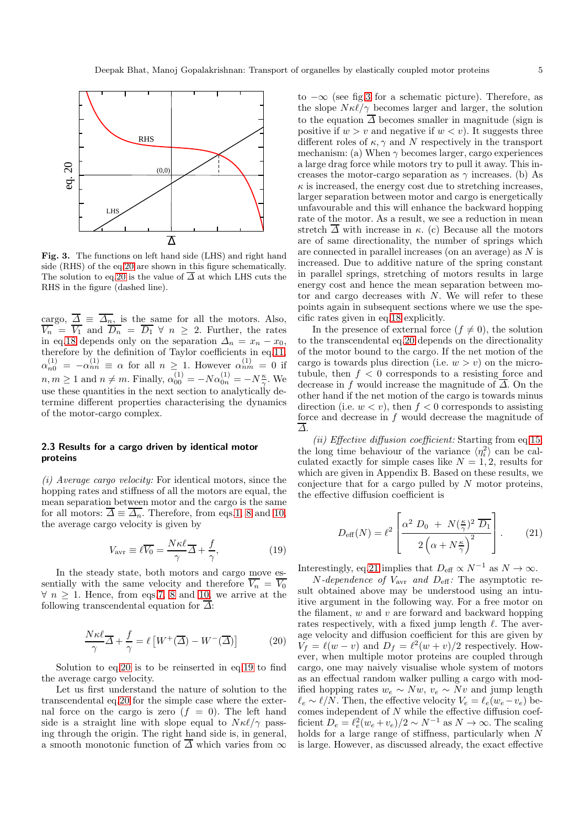

<span id="page-4-3"></span>Fig. 3. The functions on left hand side (LHS) and right hand side (RHS) of the eq[.20](#page-4-1) are shown in this figure schematically. The solution to eq[.20](#page-4-1) is the value of  $\overline{\Delta}$  at which LHS cuts the RHS in the figure (dashed line).

cargo,  $\Delta \equiv \Delta_n$ , is the same for all the motors. Also,  $V_n = V_1$  and  $D_n = D_1 \forall n \geq 2$ . Further, the rates in eq[.18](#page-3-8) depends only on the separation  $\Delta_n = x_n - x_0$ , therefore by the definition of Taylor coefficients in eq[.11,](#page-3-9)  $\alpha_{n0}^{(1)} = -\alpha_{nn}^{(1)} \equiv \alpha$  for all  $n \geq 1$ . However  $\alpha_{nm}^{(1)} = 0$  if  $n, m \geq 1$  and  $n \neq m$ . Finally,  $\alpha_{00}^{(1)} = -N \alpha_{0n}^{(1)} = -N \frac{\kappa}{\gamma}$ . We use these quantities in the next section to analytically determine different properties characterising the dynamics of the motor-cargo complex.

## <span id="page-4-0"></span>2.3 Results for a cargo driven by identical motor proteins

(i) Average cargo velocity: For identical motors, since the hopping rates and stiffness of all the motors are equal, the mean separation between motor and the cargo is the same for all motors:  $\Delta \equiv \Delta_n$ . Therefore, from eqs[.1,](#page-2-7) [8](#page-3-10) and [10,](#page-3-11) the average cargo velocity is given by

<span id="page-4-2"></span>
$$
V_{\text{avr}} \equiv \ell \overline{V_0} = \frac{N\kappa\ell}{\gamma} \overline{\Delta} + \frac{f}{\gamma},\tag{19}
$$

In the steady state, both motors and cargo move essentially with the same velocity and therefore  $\overline{V_n} = \overline{V_0}$  $\forall n \geq 1$ . Hence, from eqs[.7,](#page-3-6) [8](#page-3-10) and [10,](#page-3-11) we arrive at the following transcendental equation for  $\overline{\Delta}$ :

<span id="page-4-1"></span>
$$
\frac{N\kappa\ell}{\gamma}\overline{\Delta} + \frac{f}{\gamma} = \ell \left[ W^+(\overline{\Delta}) - W^-(\overline{\Delta}) \right] \tag{20}
$$

Solution to eq[.20](#page-4-1) is to be reinserted in eq[.19](#page-4-2) to find the average cargo velocity.

Let us first understand the nature of solution to the transcendental eq[.20](#page-4-1) for the simple case where the external force on the cargo is zero  $(f = 0)$ . The left hand side is a straight line with slope equal to  $N\kappa\ell/\gamma$  passing through the origin. The right hand side is, in general, a smooth monotonic function of  $\overline{\Delta}$  which varies from  $\infty$ 

to  $-\infty$  (see fig[.3](#page-4-3) for a schematic picture). Therefore, as the slope  $N\kappa\ell/\gamma$  becomes larger and larger, the solution to the equation  $\overline{\Delta}$  becomes smaller in magnitude (sign is positive if  $w > v$  and negative if  $w < v$ ). It suggests three different roles of  $\kappa$ ,  $\gamma$  and N respectively in the transport mechanism: (a) When  $\gamma$  becomes larger, cargo experiences a large drag force while motors try to pull it away. This increases the motor-cargo separation as  $\gamma$  increases. (b) As  $\kappa$  is increased, the energy cost due to stretching increases, larger separation between motor and cargo is energetically unfavourable and this will enhance the backward hopping rate of the motor. As a result, we see a reduction in mean stretch  $\overline{\Delta}$  with increase in  $\kappa$ . (c) Because all the motors are of same directionality, the number of springs which are connected in parallel increases (on an average) as N is increased. Due to additive nature of the spring constant in parallel springs, stretching of motors results in large energy cost and hence the mean separation between motor and cargo decreases with  $N$ . We will refer to these points again in subsequent sections where we use the specific rates given in eq[.18](#page-3-8) explicitly.

In the presence of external force  $(f \neq 0)$ , the solution to the transcendental eq[.20](#page-4-1) depends on the directionality of the motor bound to the cargo. If the net motion of the cargo is towards plus direction (i.e.  $w > v$ ) on the microtubule, then  $f < 0$  corresponds to a resisting force and decrease in f would increase the magnitude of  $\overline{\Delta}$ . On the other hand if the net motion of the cargo is towards minus direction (i.e.  $w < v$ ), then  $f < 0$  corresponds to assisting force and decrease in f would decrease the magnitude of ∆.

(ii) Effective diffusion coefficient: Starting from eq[.15,](#page-3-5) the long time behaviour of the variance  $\langle \eta_i^2 \rangle$  can be calculated exactly for simple cases like  $N = 1, 2$ , results for which are given in Appendix B. Based on these results, we conjecture that for a cargo pulled by  $N$  motor proteins, the effective diffusion coefficient is

<span id="page-4-4"></span>
$$
D_{\text{eff}}(N) = \ell^2 \left[ \frac{\alpha^2 D_0 + N(\frac{\kappa}{\gamma})^2 \overline{D_1}}{2\left(\alpha + N\frac{\kappa}{\gamma}\right)^2} \right].
$$
 (21)

Interestingly, eq[.21](#page-4-4) implies that  $D_{\text{eff}} \propto N^{-1}$  as  $N \to \infty$ .

 $N$ -dependence of  $V_{\text{avr}}$  and  $D_{\text{eff}}$ : The asymptotic result obtained above may be understood using an intuitive argument in the following way. For a free motor on the filament,  $w$  and  $v$  are forward and backward hopping rates respectively, with a fixed jump length  $\ell$ . The average velocity and diffusion coefficient for this are given by  $V_f = \ell(w - v)$  and  $D_f = \ell^2(w + v)/2$  respectively. However, when multiple motor proteins are coupled through cargo, one may naively visualise whole system of motors as an effectual random walker pulling a cargo with modified hopping rates  $w_e \sim Nw$ ,  $v_e \sim Nv$  and jump length  $\ell_e \sim \ell/\overline{N}$ . Then, the effective velocity  $V_e = \ell_e(w_e - v_e)$  becomes independent of  $N$  while the effective diffusion coefficient  $D_e = \ell_e^2 (w_e + v_e)/2 \sim N^{-1}$  as  $N \to \infty$ . The scaling holds for a large range of stiffness, particularly when N is large. However, as discussed already, the exact effective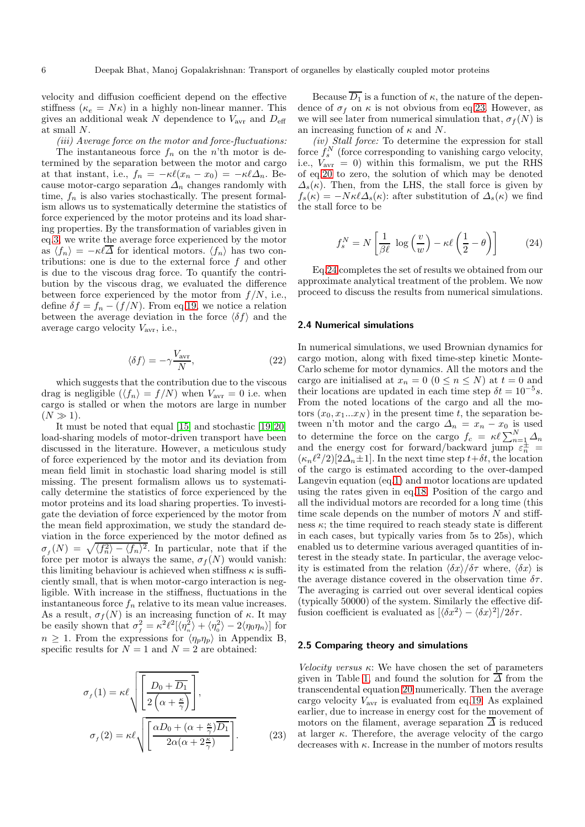velocity and diffusion coefficient depend on the effective stiffness ( $\kappa_e = N\kappa$ ) in a highly non-linear manner. This gives an additional weak  $N$  dependence to  $V_{\text{avr}}$  and  $D_{\text{eff}}$ at small N.

(iii) Average force on the motor and force-fluctuations:

The instantaneous force  $f_n$  on the n'th motor is determined by the separation between the motor and cargo at that instant, i.e.,  $f_n = -\kappa \ell (x_n - x_0) = -\kappa \ell \Delta_n$ . Because motor-cargo separation  $\Delta_n$  changes randomly with time,  $f_n$  is also varies stochastically. The present formalism allows us to systematically determine the statistics of force experienced by the motor proteins and its load sharing properties. By the transformation of variables given in eq[.3,](#page-2-4) we write the average force experienced by the motor as  $\langle f_n \rangle = -\kappa \ell \overline{\Delta}$  for identical motors.  $\langle f_n \rangle$  has two contributions: one is due to the external force  $f$  and other is due to the viscous drag force. To quantify the contribution by the viscous drag, we evaluated the difference between force experienced by the motor from  $f/N$ , i.e., define  $\delta f = f_n - (f/N)$ . From eq[.19,](#page-4-2) we notice a relation between the average deviation in the force  $\langle \delta f \rangle$  and the average cargo velocity  $V_{\text{avr}}$ , i.e.,

<span id="page-5-4"></span>
$$
\langle \delta f \rangle = -\gamma \frac{V_{\text{avr}}}{N},\tag{22}
$$

which suggests that the contribution due to the viscous drag is negligible  $(\langle f_n \rangle = f/N)$  when  $V_{\text{avr}} = 0$  i.e. when cargo is stalled or when the motors are large in number  $(N \gg 1)$ .

It must be noted that equal [\[15\]](#page-11-14) and stochastic [\[19,](#page-12-3)[20\]](#page-12-4) load-sharing models of motor-driven transport have been discussed in the literature. However, a meticulous study of force experienced by the motor and its deviation from mean field limit in stochastic load sharing model is still missing. The present formalism allows us to systematically determine the statistics of force experienced by the motor proteins and its load sharing properties. To investigate the deviation of force experienced by the motor from the mean field approximation, we study the standard deviation in the force experienced by the motor defined as  $\sigma_f(N) = \sqrt{\langle f_n^2 \rangle - \langle f_n \rangle^2}$ . In particular, note that if the force per motor is always the same,  $\sigma_f(N)$  would vanish: this limiting behaviour is achieved when stiffness  $\kappa$  is sufficiently small, that is when motor-cargo interaction is negligible. With increase in the stiffness, fluctuations in the instantaneous force  $f_n$  relative to its mean value increases. As a result,  $\sigma_f(N)$  is an increasing function of  $\kappa$ . It may be easily shown that  $\sigma_f^2 = \kappa^2 \ell^2 [\langle \eta_n^2 \rangle + \langle \eta_0^2 \rangle - 2 \langle \eta_0 \eta_n \rangle]$  for  $n \geq 1$ . From the expressions for  $\langle \eta_p \eta_p \rangle$  in Appendix B, specific results for  $N = 1$  and  $N = 2$  are obtained:

<span id="page-5-2"></span>
$$
\sigma_f(1) = \kappa \ell \sqrt{\left[ \frac{D_0 + \overline{D_1}}{2\left(\alpha + \frac{\kappa}{\gamma}\right)} \right]},
$$

$$
\sigma_f(2) = \kappa \ell \sqrt{\left[ \frac{\alpha D_0 + (\alpha + \frac{\kappa}{\gamma}) \overline{D_1}}{2\alpha(\alpha + 2\frac{\kappa}{\gamma})} \right]}.
$$
(23)

Because  $\overline{D_1}$  is a function of  $\kappa$ , the nature of the dependence of  $\sigma_f$  on  $\kappa$  is not obvious from eq[.23.](#page-5-2) However, as we will see later from numerical simulation that,  $\sigma_f(N)$  is an increasing function of  $\kappa$  and N.

(iv) Stall force: To determine the expression for stall force  $f_s^N$  (force corresponding to vanishing cargo velocity, i.e.,  $V_{\text{avr}} = 0$ ) within this formalism, we put the RHS of eq[.20](#page-4-1) to zero, the solution of which may be denoted  $\Delta_s(\kappa)$ . Then, from the LHS, the stall force is given by  $f_s(\kappa) = -N\kappa\ell\Delta_s(\kappa)$ : after substitution of  $\Delta_s(\kappa)$  we find the stall force to be

<span id="page-5-3"></span>
$$
f_s^N = N\left[\frac{1}{\beta\ell} \log\left(\frac{v}{w}\right) - \kappa\ell\left(\frac{1}{2} - \theta\right)\right]
$$
 (24)

Eq[.24](#page-5-3) completes the set of results we obtained from our approximate analytical treatment of the problem. We now proceed to discuss the results from numerical simulations.

#### <span id="page-5-0"></span>2.4 Numerical simulations

In numerical simulations, we used Brownian dynamics for cargo motion, along with fixed time-step kinetic Monte-Carlo scheme for motor dynamics. All the motors and the cargo are initialised at  $x_n = 0$   $(0 \le n \le N)$  at  $t = 0$  and their locations are updated in each time step  $\delta t = 10^{-5} s$ . From the noted locations of the cargo and all the motors  $(x_0, x_1...x_N)$  in the present time t, the separation between n'th motor and the cargo  $\Delta_n = x_n - x_0$  is used to determine the force on the cargo  $f_c = \kappa \ell \sum_{n=1}^{N} \Delta_n$ and the energy cost for forward/backward jump  $\varepsilon_n^{\pm}$  =  $(\kappa_n \ell^2/2)[2\Delta_n \pm 1]$ . In the next time step  $t+\delta t$ , the location of the cargo is estimated according to the over-damped Langevin equation (eq[.1\)](#page-2-7) and motor locations are updated using the rates given in eq[.18.](#page-3-8) Position of the cargo and all the individual motors are recorded for a long time (this time scale depends on the number of motors  $N$  and stiffness  $\kappa$ ; the time required to reach steady state is different in each cases, but typically varies from 5s to 25s), which enabled us to determine various averaged quantities of interest in the steady state. In particular, the average velocity is estimated from the relation  $\langle \delta x \rangle / \delta \tau$  where,  $\langle \delta x \rangle$  is the average distance covered in the observation time  $\delta \tau$ . The averaging is carried out over several identical copies (typically 50000) of the system. Similarly the effective diffusion coefficient is evaluated as  $[\langle \delta x^2 \rangle - \langle \delta x \rangle^2]/2\delta\tau$ .

#### <span id="page-5-1"></span>2.5 Comparing theory and simulations

Velocity versus  $\kappa$ : We have chosen the set of parameters given in Table [1,](#page-6-0) and found the solution for  $\overline{\Delta}$  from the transcendental equation [20](#page-4-1) numerically. Then the average cargo velocity  $V_{\text{avr}}$  is evaluated from eq[.19.](#page-4-2) As explained earlier, due to increase in energy cost for the movement of motors on the filament, average separation  $\overline{\Delta}$  is reduced at larger  $\kappa$ . Therefore, the average velocity of the cargo decreases with  $\kappa$ . Increase in the number of motors results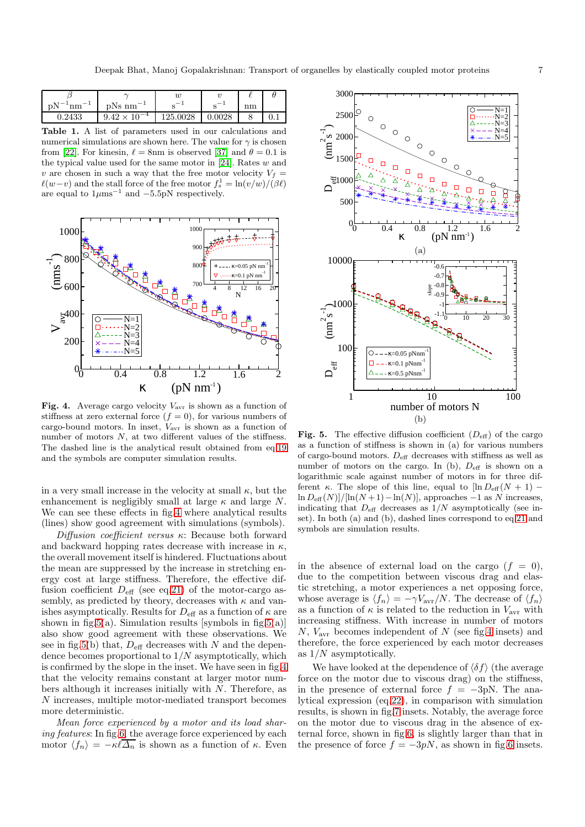| $^{-1}$ nm $^{-1}$<br>$\rm{D}N^{-1}$ | $\rm bNs~\rm nm^{-1}$      |          |        | nm |  |
|--------------------------------------|----------------------------|----------|--------|----|--|
| $\,0.2433\,$                         | $10^{-4}$<br>$9.42 \times$ | 125.0028 | 0.0028 |    |  |

<span id="page-6-0"></span>Table 1. A list of parameters used in our calculations and numerical simulations are shown here. The value for  $\gamma$  is chosen from [\[22\]](#page-12-6). For kinesin,  $\ell = 8$ nm is observed [\[37\]](#page-12-21) and  $\theta = 0.1$  is the typical value used for the same motor in [\[24\]](#page-12-8). Rates  $w$  and v are chosen in such a way that the free motor velocity  $V_f =$  $\ell(w-v)$  and the stall force of the free motor  $f_s^1 = \ln(v/w)/(\beta \ell)$ are equal to  $1 \mu \text{ms}^{-1}$  and  $-5.5 \text{pN}$  respectively.



<span id="page-6-1"></span>Fig. 4. Average cargo velocity  $V_{\text{avr}}$  is shown as a function of stiffness at zero external force  $(f = 0)$ , for various numbers of cargo-bound motors. In inset,  $V_{\text{avr}}$  is shown as a function of number of motors  $N$ , at two different values of the stiffness. The dashed line is the analytical result obtained from eq[.19](#page-4-2) and the symbols are computer simulation results.

in a very small increase in the velocity at small  $\kappa$ , but the enhancement is negligibly small at large  $\kappa$  and large N. We can see these effects in fig[.4](#page-6-1) where analytical results (lines) show good agreement with simulations (symbols).

Diffusion coefficient versus  $\kappa$ : Because both forward and backward hopping rates decrease with increase in  $\kappa$ , the overall movement itself is hindered. Fluctuations about the mean are suppressed by the increase in stretching energy cost at large stiffness. Therefore, the effective diffusion coefficient  $D_{\text{eff}}$  (see eq[.21\)](#page-4-4) of the motor-cargo assembly, as predicted by theory, decreases with  $\kappa$  and vanishes asymptotically. Results for  $D_{\text{eff}}$  as a function of  $\kappa$  are shown in fig[.5\(](#page-6-2)a). Simulation results [symbols in fig.5(a)] also show good agreement with these observations. We see in fig[.5\(](#page-6-2)b) that,  $D_{\text{eff}}$  decreases with N and the dependence becomes proportional to  $1/N$  asymptotically, which is confirmed by the slope in the inset. We have seen in fig[.4](#page-6-1) that the velocity remains constant at larger motor numbers although it increases initially with N. Therefore, as N increases, multiple motor-mediated transport becomes more deterministic.

Mean force experienced by a motor and its load shar-ing features: In fig[.6,](#page-7-0) the average force experienced by each motor  $\langle f_n \rangle = -\kappa \ell \overline{\Delta_n}$  is shown as a function of  $\kappa$ . Even



<span id="page-6-2"></span>Fig. 5. The effective diffusion coefficient  $(D_{\text{eff}})$  of the cargo as a function of stiffness is shown in (a) for various numbers of cargo-bound motors.  $D_{\rm eff}$  decreases with stiffness as well as number of motors on the cargo. In (b),  $D_{\text{eff}}$  is shown on a logarithmic scale against number of motors in for three different κ. The slope of this line, equal to  $\left[\ln D_{\text{eff}}(N+1) - \right]$  $\ln D_{\text{eff}}(N)]/[\ln(N+1)-\ln(N)]$ , approaches −1 as N increases, indicating that  $D_{\text{eff}}$  decreases as  $1/N$  asymptotically (see inset). In both (a) and (b), dashed lines correspond to eq[.21](#page-4-4) and symbols are simulation results.

in the absence of external load on the cargo  $(f = 0)$ , due to the competition between viscous drag and elastic stretching, a motor experiences a net opposing force, whose average is  $\langle f_n \rangle = -\gamma V_{\rm avr}/N$ . The decrease of  $\langle f_n \rangle$ as a function of  $\kappa$  is related to the reduction in  $V_{\text{avr}}$  with increasing stiffness. With increase in number of motors N,  $V_{\text{avr}}$  becomes independent of N (see fig[.4](#page-6-1) insets) and therefore, the force experienced by each motor decreases as  $1/N$  asymptotically.

We have looked at the dependence of  $\langle \delta f \rangle$  (the average force on the motor due to viscous drag) on the stiffness, in the presence of external force  $f = -3pN$ . The analytical expression (eq[.22\)](#page-5-4), in comparison with simulation results, is shown in fig[.7](#page-7-1) insets. Notably, the average force on the motor due to viscous drag in the absence of external force, shown in fig[.6,](#page-7-0) is slightly larger than that in the presence of force  $f = -3pN$ , as shown in fig[.6](#page-7-0) insets.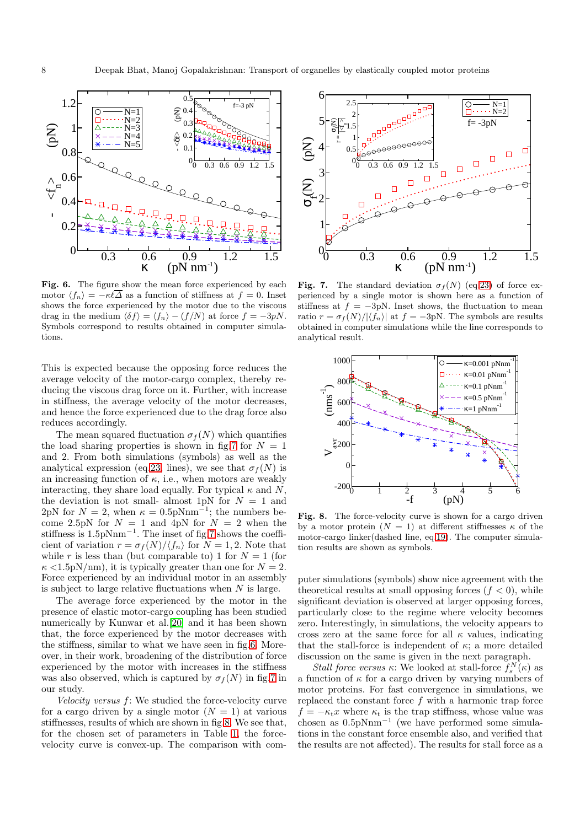

<span id="page-7-0"></span>Fig. 6. The figure show the mean force experienced by each motor  $\langle f_n \rangle = -\kappa \ell \overline{\Delta}$  as a function of stiffness at  $f = 0$ . Inset shows the force experienced by the motor due to the viscous drag in the medium  $\langle \delta f \rangle = \langle f_n \rangle - (f/N)$  at force  $f = -3pN$ . Symbols correspond to results obtained in computer simulations.

This is expected because the opposing force reduces the average velocity of the motor-cargo complex, thereby reducing the viscous drag force on it. Further, with increase in stiffness, the average velocity of the motor decreases, and hence the force experienced due to the drag force also reduces accordingly.

The mean squared fluctuation  $\sigma_f(N)$  which quantifies the load sharing properties is shown in fig[.7](#page-7-1) for  $N = 1$ and 2. From both simulations (symbols) as well as the analytical expression (eq[.23,](#page-5-2) lines), we see that  $\sigma_f(N)$  is an increasing function of  $\kappa$ , i.e., when motors are weakly interacting, they share load equally. For typical  $\kappa$  and N, the deviation is not small- almost 1pN for  $N = 1$  and 2pN for  $N = 2$ , when  $\kappa = 0.5$ pNnm<sup>-1</sup>; the numbers become 2.5pN for  $N = 1$  and 4pN for  $N = 2$  when the stiffness is 1.5pNnm<sup>-1</sup>. The inset of fig[.7](#page-7-1) shows the coefficient of variation  $r = \frac{\sigma_f(N)}{\langle f_n \rangle}$  for  $N = 1, 2$ . Note that while r is less than (but comparable to) 1 for  $N = 1$  (for  $\kappa$  <1.5pN/nm), it is typically greater than one for  $N = 2$ . Force experienced by an individual motor in an assembly is subject to large relative fluctuations when  $N$  is large.

The average force experienced by the motor in the presence of elastic motor-cargo coupling has been studied numerically by Kunwar et al.[\[20\]](#page-12-4) and it has been shown that, the force experienced by the motor decreases with the stiffness, similar to what we have seen in fig[.6.](#page-7-0) Moreover, in their work, broadening of the distribution of force experienced by the motor with increases in the stiffness was also observed, which is captured by  $\sigma_f(N)$  in fig[.7](#page-7-1) in our study.

Velocity versus  $f$ : We studied the force-velocity curve for a cargo driven by a single motor  $(N = 1)$  at various stiffnesses, results of which are shown in fig[.8.](#page-7-2) We see that, for the chosen set of parameters in Table [1,](#page-6-0) the forcevelocity curve is convex-up. The comparison with com-



<span id="page-7-1"></span>Fig. 7. The standard deviation  $\sigma_f(N)$  (eq[.23\)](#page-5-2) of force experienced by a single motor is shown here as a function of stiffness at  $f = -3pN$ . Inset shows, the fluctuation to mean ratio  $r = \frac{\sigma_f(N)}{|\langle f_n \rangle|}$  at  $f = -3pN$ . The symbols are results obtained in computer simulations while the line corresponds to analytical result.



<span id="page-7-2"></span>Fig. 8. The force-velocity curve is shown for a cargo driven by a motor protein  $(N = 1)$  at different stiffnesses  $\kappa$  of the motor-cargo linker(dashed line, eq[.19\)](#page-4-2). The computer simulation results are shown as symbols.

puter simulations (symbols) show nice agreement with the theoretical results at small opposing forces  $(f < 0)$ , while significant deviation is observed at larger opposing forces, particularly close to the regime where velocity becomes zero. Interestingly, in simulations, the velocity appears to cross zero at the same force for all  $\kappa$  values, indicating that the stall-force is independent of  $\kappa$ ; a more detailed discussion on the same is given in the next paragraph.

Stall force versus  $\kappa$ : We looked at stall-force  $f_s^N(\kappa)$  as a function of  $\kappa$  for a cargo driven by varying numbers of motor proteins. For fast convergence in simulations, we replaced the constant force  $f$  with a harmonic trap force  $f = -\kappa_t x$  where  $\kappa_t$  is the trap stiffness, whose value was  $\alpha$ chosen as 0.5pNnm<sup>-1</sup> (we have performed some simulations in the constant force ensemble also, and verified that the results are not affected). The results for stall force as a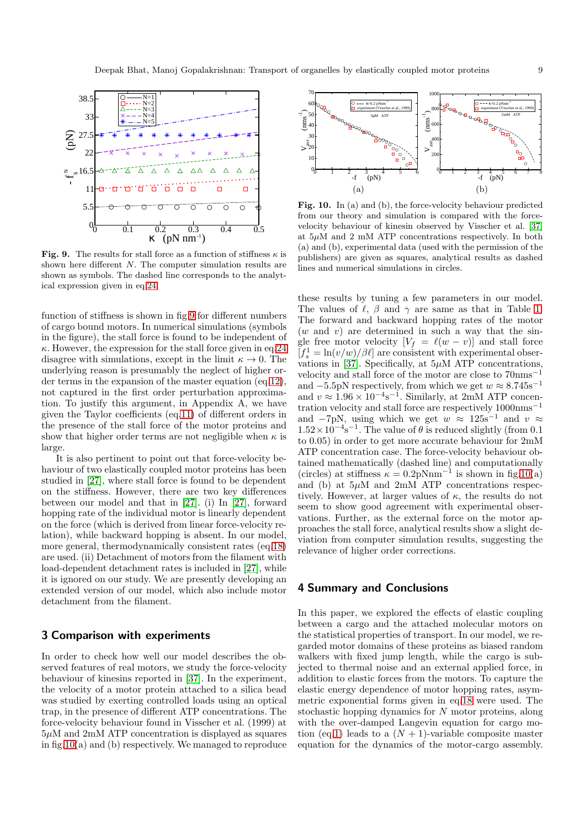

<span id="page-8-2"></span>Fig. 9. The results for stall force as a function of stiffness  $\kappa$  is shown here different N. The computer simulation results are shown as symbols. The dashed line corresponds to the analytical expression given in eq[.24.](#page-5-3)

function of stiffness is shown in fig[.9](#page-8-2) for different numbers of cargo bound motors. In numerical simulations (symbols in the figure), the stall force is found to be independent of  $\kappa$ . However, the expression for the stall force given in eq[.24](#page-5-3) disagree with simulations, except in the limit  $\kappa \to 0$ . The underlying reason is presumably the neglect of higher order terms in the expansion of the master equation (eq[.12\)](#page-3-2), not captured in the first order perturbation approximation. To justify this argument, in Appendix A, we have given the Taylor coefficients (eq[.11\)](#page-3-9) of different orders in the presence of the stall force of the motor proteins and show that higher order terms are not negligible when  $\kappa$  is large.

It is also pertinent to point out that force-velocity behaviour of two elastically coupled motor proteins has been studied in [\[27\]](#page-12-11), where stall force is found to be dependent on the stiffness. However, there are two key differences between our model and that in [\[27\]](#page-12-11). (i) In [\[27\]](#page-12-11), forward hopping rate of the individual motor is linearly dependent on the force (which is derived from linear force-velocity relation), while backward hopping is absent. In our model, more general, thermodynamically consistent rates (eq[.18\)](#page-3-8) are used. (ii) Detachment of motors from the filament with load-dependent detachment rates is included in [\[27\]](#page-12-11), while it is ignored on our study. We are presently developing an extended version of our model, which also include motor detachment from the filament.

## <span id="page-8-0"></span>3 Comparison with experiments

In order to check how well our model describes the observed features of real motors, we study the force-velocity behaviour of kinesins reported in [\[37\]](#page-12-21). In the experiment, the velocity of a motor protein attached to a silica bead was studied by exerting controlled loads using an optical trap, in the presence of different ATP concentrations. The force-velocity behaviour found in Visscher et al. (1999) at  $5\mu$ M and  $2m$ M ATP concentration is displayed as squares in fig[.10\(](#page-8-3)a) and (b) respectively. We managed to reproduce



<span id="page-8-3"></span>Fig. 10. In (a) and (b), the force-velocity behaviour predicted from our theory and simulation is compared with the forcevelocity behaviour of kinesin observed by Visscher et al. [\[37\]](#page-12-21) at  $5\mu$ M and 2 mM ATP concentrations respectively. In both (a) and (b), experimental data (used with the permission of the publishers) are given as squares, analytical results as dashed lines and numerical simulations in circles.

these results by tuning a few parameters in our model. The values of  $\ell$ ,  $\beta$  and  $\gamma$  are same as that in Table [1.](#page-6-0) The forward and backward hopping rates of the motor  $(w \text{ and } v)$  are determined in such a way that the single free motor velocity  $[V_f = \ell(w - v)]$  and stall force  $[f_s^1 = \ln(v/w)/\beta \ell]$  are consistent with experimental obser-vations in [\[37\]](#page-12-21). Specifically, at  $5\mu$ M ATP concentrations, velocity and stall force of the motor are close to 70nms<sup>−</sup><sup>1</sup> and  $-5.5$ pN respectively, from which we get  $w \approx 8.745 \text{s}^{-1}$ and  $v \approx 1.96 \times 10^{-4} \text{s}^{-1}$ . Similarly, at 2mM ATP concentration velocity and stall force are respectively 1000nms<sup>−</sup><sup>1</sup> and  $-7pN$ , using which we get  $w \approx 125s^{-1}$  and  $v \approx$  $1.52 \times 10^{-4}$  s<sup>-1</sup>. The value of  $\theta$  is reduced slightly (from 0.1) to 0.05) in order to get more accurate behaviour for 2mM ATP concentration case. The force-velocity behaviour obtained mathematically (dashed line) and computationally (circles) at stiffness  $\kappa = 0.2$ pNnm<sup>-1</sup> is shown in fig[.10\(](#page-8-3)a) and (b) at  $5\mu$ M and  $2m$ M ATP concentrations respectively. However, at larger values of  $\kappa$ , the results do not seem to show good agreement with experimental observations. Further, as the external force on the motor approaches the stall force, analytical results show a slight deviation from computer simulation results, suggesting the relevance of higher order corrections.

## <span id="page-8-1"></span>4 Summary and Conclusions

In this paper, we explored the effects of elastic coupling between a cargo and the attached molecular motors on the statistical properties of transport. In our model, we regarded motor domains of these proteins as biased random walkers with fixed jump length, while the cargo is subjected to thermal noise and an external applied force, in addition to elastic forces from the motors. To capture the elastic energy dependence of motor hopping rates, asymmetric exponential forms given in eq[.18](#page-3-8) were used. The stochastic hopping dynamics for N motor proteins, along with the over-damped Langevin equation for cargo mo-tion (eq[.1\)](#page-2-7) leads to a  $(N + 1)$ -variable composite master equation for the dynamics of the motor-cargo assembly.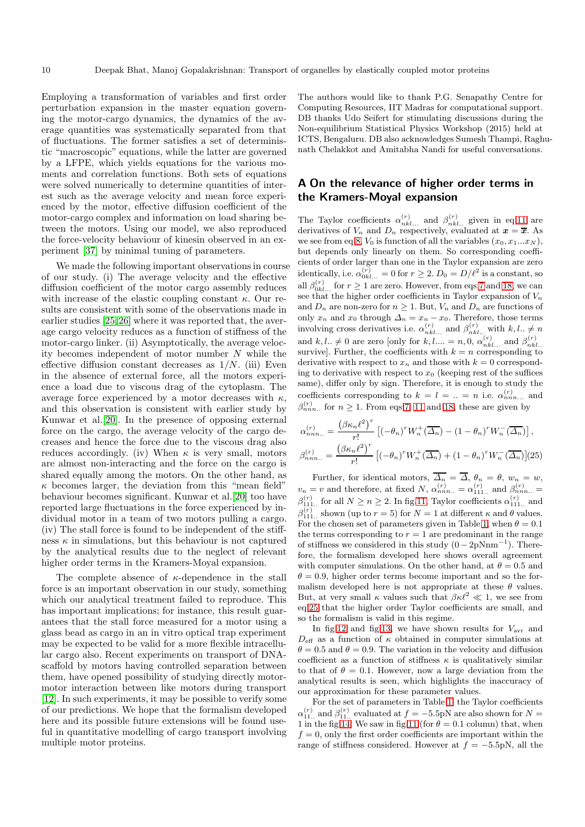Employing a transformation of variables and first order perturbation expansion in the master equation governing the motor-cargo dynamics, the dynamics of the average quantities was systematically separated from that of fluctuations. The former satisfies a set of deterministic "macroscopic" equations, while the latter are governed by a LFPE, which yields equations for the various moments and correlation functions. Both sets of equations were solved numerically to determine quantities of interest such as the average velocity and mean force experienced by the motor, effective diffusion coefficient of the motor-cargo complex and information on load sharing between the motors. Using our model, we also reproduced the force-velocity behaviour of kinesin observed in an experiment [\[37\]](#page-12-21) by minimal tuning of parameters.

We made the following important observations in course of our study. (i) The average velocity and the effective diffusion coefficient of the motor cargo assembly reduces with increase of the elastic coupling constant  $\kappa$ . Our results are consistent with some of the observations made in earlier studies [\[25,](#page-12-9)[26\]](#page-12-10) where it was reported that, the average cargo velocity reduces as a function of stiffness of the motor-cargo linker. (ii) Asymptotically, the average velocity becomes independent of motor number N while the effective diffusion constant decreases as  $1/N$ . (iii) Even in the absence of external force, all the motors experience a load due to viscous drag of the cytoplasm. The average force experienced by a motor decreases with  $\kappa$ , and this observation is consistent with earlier study by Kunwar et al.[\[20\]](#page-12-4). In the presence of opposing external force on the cargo, the average velocity of the cargo decreases and hence the force due to the viscous drag also reduces accordingly. (iv) When  $\kappa$  is very small, motors are almost non-interacting and the force on the cargo is shared equally among the motors. On the other hand, as  $\kappa$  becomes larger, the deviation from this "mean field" behaviour becomes significant. Kunwar et al.[\[20\]](#page-12-4) too have reported large fluctuations in the force experienced by individual motor in a team of two motors pulling a cargo. (iv) The stall force is found to be independent of the stiffness  $\kappa$  in simulations, but this behaviour is not captured by the analytical results due to the neglect of relevant higher order terms in the Kramers-Moyal expansion.

The complete absence of  $\kappa$ -dependence in the stall force is an important observation in our study, something which our analytical treatment failed to reproduce. This has important implications; for instance, this result guarantees that the stall force measured for a motor using a glass bead as cargo in an in vitro optical trap experiment may be expected to be valid for a more flexible intracellular cargo also. Recent experiments on transport of DNAscaffold by motors having controlled separation between them, have opened possibility of studying directly motormotor interaction between like motors during transport [\[12\]](#page-11-11). In such experiments, it may be possible to verify some of our predictions. We hope that the formalism developed here and its possible future extensions will be found useful in quantitative modelling of cargo transport involving multiple motor proteins.

The authors would like to thank P.G. Senapathy Centre for Computing Resources, IIT Madras for computational support. DB thanks Udo Seifert for stimulating discussions during the Non-equilibrium Statistical Physics Workshop (2015) held at ICTS, Bengaluru. DB also acknowledges Sumesh Thampi, Raghunath Chelakkot and Amitabha Nandi for useful conversations.

# A On the relevance of higher order terms in the Kramers-Moyal expansion

The Taylor coefficients  $\alpha_{nkl...}^{(r)}$  and  $\beta_{nkl...}^{(r)}$  given in eq[.11](#page-3-9) are derivatives of  $V_n$  and  $D_n$  respectively, evaluated at  $\mathbf{x} = \overline{\mathbf{x}}$ . As we see from eq[.8,](#page-3-10)  $V_0$  is function of all the variables  $(x_0, x_1...x_N)$ , but depends only linearly on them. So corresponding coefficients of order larger than one in the Taylor expansion are zero identically, i.e.  $\alpha_{0kl...}^{(r)} = 0$  for  $r \ge 2$ .  $D_0 = D/\ell^2$  is a constant, so all  $\beta_{0kl...}^{(r)}$  for  $r \ge 1$  are zero. However, from eqs[.7](#page-3-6) and [18,](#page-3-8) we can see that the higher order coefficients in Taylor expansion of  $V_n$ and  $D_n$  are non-zero for  $n \geq 1$ . But,  $V_n$  and  $D_n$  are functions of only  $x_n$  and  $x_0$  through  $\Delta_n = x_n - x_0$ . Therefore, those terms involving cross derivatives i.e.  $\alpha_{nkl...}^{(r)}$  and  $\beta_{nkl...}^{(r)}$  with  $k, l.. \neq n$ and  $k, l, \neq 0$  are zero [only for  $k, l, \ldots = n, 0, \alpha_{nkl...}^{(r)}$  and  $\beta_{nkl...}^{(r)}$ survive]. Further, the coefficients with  $k = n$  corresponding to derivative with respect to  $x_n$  and those with  $k = 0$  corresponding to derivative with respect to  $x_0$  (keeping rest of the suffices same), differ only by sign. Therefore, it is enough to study the coefficients corresponding to  $k = l = ... = n$  i.e.  $\alpha_{nnn...}^{(r)}$  and  $\beta_{nnn}^{(r)}$  for  $n \ge 1$ . From eqs[.7,](#page-3-6) [11](#page-3-9) and [18,](#page-3-8) these are given by

<span id="page-9-0"></span>
$$
\alpha_{nnn..}^{(r)} = \frac{\left(\beta \kappa_n \ell^2\right)^r}{r!} \left[ (-\theta_n)^r W_n^+(\overline{\Delta_n}) - (1 - \theta_n)^r W_n^-(\overline{\Delta_n}) \right],
$$
  

$$
\beta_{nnn..}^{(r)} = \frac{\left(\beta \kappa_n \ell^2\right)^r}{r!} \left[ (-\theta_n)^r W_n^+(\overline{\Delta_n}) + (1 - \theta_n)^r W_n^-(\overline{\Delta_n}) \right] (25)
$$

Further, for identical motors,  $\Delta_n = \Delta$ ,  $\theta_n = \theta$ ,  $w_n = w$ ,  $v_n = v$  and therefore, at fixed N,  $\alpha_{nnn...}^{(r)} = \alpha_{111...}^{(r)}$  and  $\beta_{nnn...}^{(r)} =$  $\beta_{111...}^{(r)}$  for all  $N \ge n \ge 2$ . In fig[.11,](#page-10-0) Taylor coefficients  $\alpha_{111...}^{(r)}$  and  $\beta_{111}^{(r)}$ , shown (up to  $r = 5$ ) for  $N = 1$  at different  $\kappa$  and  $\theta$  values. For the chosen set of parameters given in Table [1,](#page-6-0) when  $\theta = 0.1$ the terms corresponding to  $r = 1$  are predominant in the range of stiffness we considered in this study  $(0 - 2pNnm^{-1})$ . Therefore, the formalism developed here shows overall agreement with computer simulations. On the other hand, at  $\theta = 0.5$  and  $\theta = 0.9$ , higher order terms become important and so the formalism developed here is not appropriate at these  $\theta$  values. But, at very small  $\kappa$  values such that  $\beta \kappa \ell^2 \ll 1$ , we see from eq[.25](#page-9-0) that the higher order Taylor coefficients are small, and so the formalism is valid in this regime.

In fig[.12](#page-10-1) and fig[.13,](#page-10-2) we have shown results for  $V_{\text{avr}}$  and  $D_{\text{eff}}$  as a function of  $\kappa$  obtained in computer simulations at  $\theta = 0.5$  and  $\theta = 0.9$ . The variation in the velocity and diffusion coefficient as a function of stiffness  $\kappa$  is qualitatively similar to that of  $\theta = 0.1$ . However, now a large deviation from the analytical results is seen, which highlights the inaccuracy of our approximation for these parameter values.

For the set of parameters in Table [1,](#page-6-0) the Taylor coefficients  $\alpha_{11..}^{(r)}$  and  $\beta_{11..}^{(r)}$  evaluated at  $f = -5.5$ pN are also shown for  $N =$ 1 in the fig[.14.](#page-10-3) We saw in fig[.11](#page-10-0) (for  $\theta = 0.1$  column) that, when  $f = 0$ , only the first order coefficients are important within the range of stiffness considered. However at  $f = -5.5pN$ , all the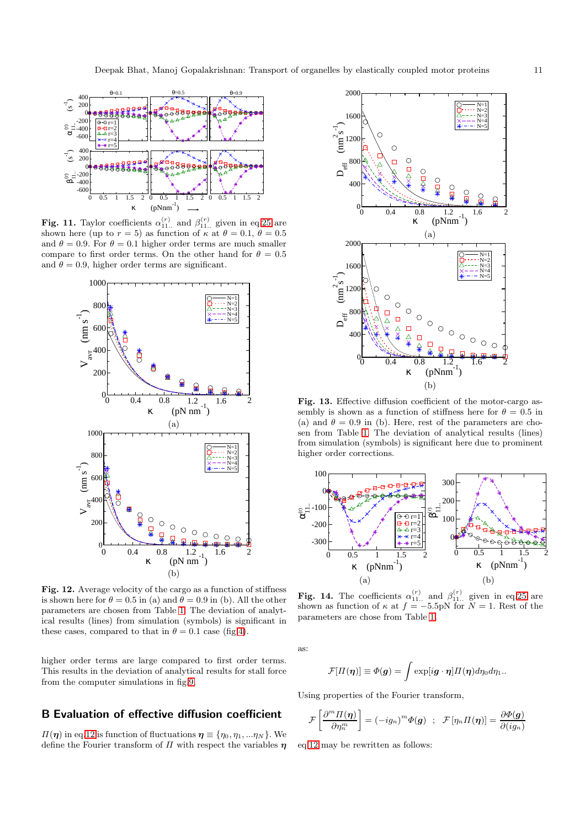

<span id="page-10-0"></span>**Fig. 11.** Taylor coefficients  $\alpha_{11...}^{(r)}$  and  $\beta_{11...}^{(r)}$  given in eq[.25](#page-9-0) are shown here (up to  $r = 5$ ) as function of  $\kappa$  at  $\theta = 0.1, \theta = 0.5$ and  $\theta = 0.9$ . For  $\theta = 0.1$  higher order terms are much smaller compare to first order terms. On the other hand for  $\theta = 0.5$ and  $\theta = 0.9$ , higher order terms are significant.



<span id="page-10-1"></span>Fig. 12. Average velocity of the cargo as a function of stiffness is shown here for  $\theta = 0.5$  in (a) and  $\theta = 0.9$  in (b). All the other parameters are chosen from Table [1.](#page-6-0) The deviation of analytical results (lines) from simulation (symbols) is significant in these cases, compared to that in  $\theta = 0.1$  case (fig[.4\)](#page-6-1).

higher order terms are large compared to first order terms. This results in the deviation of analytical results for stall force from the computer simulations in fig[.9.](#page-8-2)

# B Evaluation of effective diffusion coefficient

 $\Pi(\eta)$  in eq[.12](#page-3-2) is function of fluctuations  $\eta \equiv {\eta_0, \eta_1, \dots, \eta_N}$ . We define the Fourier transform of  $\Pi$  with respect the variables  $\eta$ 



<span id="page-10-2"></span>Fig. 13. Effective diffusion coefficient of the motor-cargo assembly is shown as a function of stiffness here for  $\theta = 0.5$  in (a) and  $\theta = 0.9$  in (b). Here, rest of the parameters are chosen from Table [1.](#page-6-0) The deviation of analytical results (lines) from simulation (symbols) is significant here due to prominent higher order corrections.



<span id="page-10-3"></span>**Fig. 14.** The coefficients  $\alpha_{11...}^{(r)}$  and  $\beta_{11...}^{(r)}$  given in eq[.25](#page-9-0) are shown as function of  $\kappa$  at  $f = -5.5pN$  for  $N = 1$ . Rest of the parameters are chose from Table [1.](#page-6-0)

as:

$$
\mathcal{F}[H(\boldsymbol{\eta})] \equiv \Phi(\boldsymbol{g}) = \int \exp[i \boldsymbol{g} \cdot \boldsymbol{\eta}] H(\boldsymbol{\eta}) d\eta_0 d\eta_1.
$$

Using properties of the Fourier transform,

$$
\mathcal{F}\left[\frac{\partial^m \Pi(\boldsymbol{\eta})}{\partial \eta_n^m}\right] = (-ig_n)^m \Phi(\boldsymbol{g}) \hspace{2mm}; \hspace{2mm} \mathcal{F}\left[\eta_n \Pi(\boldsymbol{\eta})\right] = \frac{\partial \Phi(\boldsymbol{g})}{\partial (ig_n)}
$$

eq[.12](#page-3-2) may be rewritten as follows: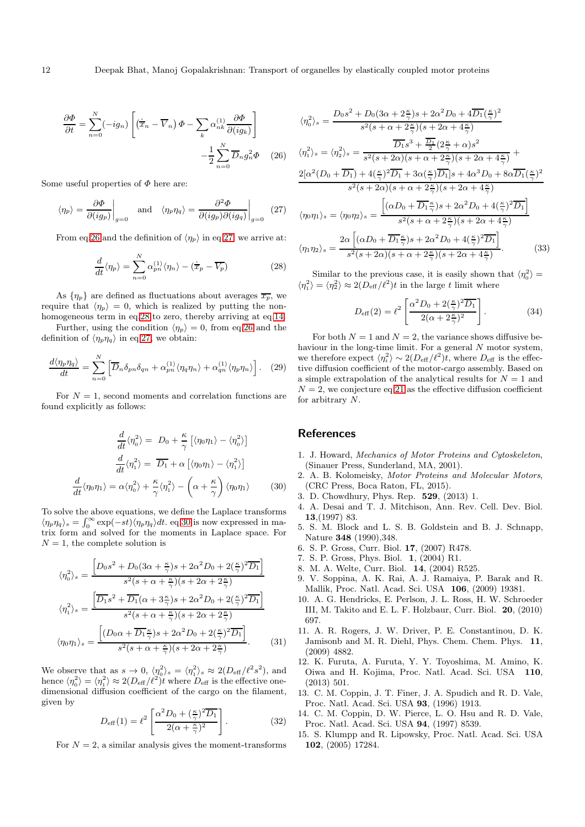<span id="page-11-15"></span>
$$
\frac{\partial \Phi}{\partial t} = \sum_{n=0}^{N} (-ig_n) \left[ \left( \dot{\overline{x}}_n - \overline{V}_n \right) \Phi - \sum_{k} \alpha_{nk}^{(1)} \frac{\partial \Phi}{\partial (ig_k)} \right] - \frac{1}{2} \sum_{n=0}^{N} \overline{D}_n g_n^2 \Phi \quad (26)
$$

Some useful properties of  $\Phi$  here are:

<span id="page-11-16"></span>
$$
\langle \eta_p \rangle = \frac{\partial \Phi}{\partial (ig_p)} \bigg|_{g=0}
$$
 and  $\langle \eta_p \eta_q \rangle = \frac{\partial^2 \Phi}{\partial (ig_p) \partial (ig_q)} \bigg|_{g=0}$  (27)

From eq[.26](#page-11-15) and the definition of  $\langle \eta_p \rangle$  in eq[.27,](#page-11-16) we arrive at:

<span id="page-11-17"></span>
$$
\frac{d}{dt}\langle \eta_p \rangle = \sum_{n=0}^{N} \alpha_{pn}^{(1)} \langle \eta_n \rangle - (\dot{\overline{x}}_p - \overline{V_p})
$$
\n(28)

As  $\{\eta_p\}$  are defined as fluctuations about averages  $\overline{x_p}$ , we require that  $\langle \eta_p \rangle = 0$ , which is realized by putting the nonhomogeneous term in eq[.28](#page-11-17) to zero, thereby arriving at eq[.14.](#page-3-4)

Further, using the condition  $\langle \eta_p \rangle = 0$ , from eq[.26](#page-11-15) and the definition of  $\langle \eta_p \eta_q \rangle$  in eq[.27,](#page-11-16) we obtain:

$$
\frac{d\langle\eta_p\eta_q\rangle}{dt} = \sum_{n=0}^N \left[ \overline{D}_n \delta_{pn} \delta_{qn} + \alpha_{pn}^{(1)} \langle \eta_q \eta_n \rangle + \alpha_{qn}^{(1)} \langle \eta_p \eta_n \rangle \right]. \tag{29}
$$

For  $N = 1$ , second moments and correlation functions are found explicitly as follows:

<span id="page-11-18"></span>
$$
\frac{d}{dt}\langle \eta_0^2 \rangle = D_0 + \frac{\kappa}{\gamma} \left[ \langle \eta_0 \eta_1 \rangle - \langle \eta_0^2 \rangle \right]
$$

$$
\frac{d}{dt}\langle \eta_1^2 \rangle = \overline{D_1} + \alpha \left[ \langle \eta_0 \eta_1 \rangle - \langle \eta_1^2 \rangle \right]
$$

$$
\frac{d}{dt}\langle \eta_0 \eta_1 \rangle = \alpha \langle \eta_0^2 \rangle + \frac{\kappa}{\gamma} \langle \eta_1^2 \rangle - \left( \alpha + \frac{\kappa}{\gamma} \right) \langle \eta_0 \eta_1 \rangle \tag{30}
$$

To solve the above equations, we define the Laplace transforms  $\langle \eta_p \eta_q \rangle_s = \int_0^\infty \exp(-st) \langle \eta_p \eta_q \rangle dt$ . eq[.30](#page-11-18) is now expressed in matrix form and solved for the moments in Laplace space. For  $N = 1$ , the complete solution is

$$
\langle \eta_0^2 \rangle_s = \frac{\left[ D_0 s^2 + D_0 (3\alpha + \frac{\kappa}{\gamma}) s + 2\alpha^2 D_0 + 2(\frac{\kappa}{\gamma})^2 \overline{D_1} \right]}{s^2 (s + \alpha + \frac{\kappa}{\gamma}) (s + 2\alpha + 2\frac{\kappa}{\gamma})}
$$

$$
\langle \eta_1^2 \rangle_s = \frac{\left[ \overline{D_1 s^2 + \overline{D_1} (\alpha + 3\frac{\kappa}{\gamma}) s + 2\alpha^2 D_0 + 2(\frac{\kappa}{\gamma})^2 \overline{D_1} \right]}{s^2 (s + \alpha + \frac{\kappa}{\gamma}) (s + 2\alpha + 2\frac{\kappa}{\gamma})}
$$

$$
\langle \eta_0 \eta_1 \rangle_s = \frac{\left[ (D_0 \alpha + \overline{D_1 \frac{\kappa}{\gamma}}) s + 2\alpha^2 D_0 + 2(\frac{\kappa}{\gamma})^2 \overline{D_1} \right]}{s^2 (s + \alpha + \frac{\kappa}{\gamma}) (s + 2\alpha + 2\frac{\kappa}{\gamma})}.
$$
(31)

We observe that as  $s \to 0$ ,  $\langle \eta_0^2 \rangle_s = \langle \eta_1^2 \rangle_s \approx 2(D_{\text{eff}}/\ell^2 s^2)$ , and hence  $\langle \eta_0^2 \rangle = \langle \eta_1^2 \rangle \approx 2(D_{\text{eff}}/\ell^2)$  where  $D_{\text{eff}}$  is the effective onedimensional diffusion coefficient of the cargo on the filament, given by

$$
D_{\text{eff}}(1) = \ell^2 \left[ \frac{\alpha^2 D_0 + \left(\frac{\kappa}{\gamma}\right)^2 \overline{D_1}}{2(\alpha + \frac{\kappa}{\gamma})^2} \right].
$$
 (32)

For  $N = 2$ , a similar analysis gives the moment-transforms

$$
\langle \eta_0^2 \rangle_s = \frac{D_0 s^2 + D_0 (3\alpha + 2\frac{\kappa}{\gamma}) s + 2\alpha^2 D_0 + 4 \overline{D_1} (\frac{\kappa}{\gamma})^2}{s^2 (s + \alpha + 2\frac{\kappa}{\gamma}) (s + 2\alpha + 4\frac{\kappa}{\gamma})}
$$
  

$$
\langle \eta_1^2 \rangle_s = \langle \eta_2^2 \rangle_s = \frac{\overline{D_1} s^3 + \frac{\overline{D_1}}{2} (2\frac{\kappa}{\gamma} + \alpha) s^2}{s^2 (s + 2\alpha) (s + \alpha + 2\frac{\kappa}{\gamma}) (s + 2\alpha + 4\frac{\kappa}{\gamma})} +
$$
  

$$
\frac{2[\alpha^2 (D_0 + \overline{D_1}) + 4(\frac{\kappa}{\gamma})^2 \overline{D_1} + 3\alpha (\frac{\kappa}{\gamma}) \overline{D_1}] s + 4\alpha^3 D_0 + 8\alpha \overline{D_1} (\frac{\kappa}{\gamma})^2}{s^2 (s + 2\alpha) (s + \alpha + 2\frac{\kappa}{\gamma}) (s + 2\alpha + 4\frac{\kappa}{\gamma})}
$$
  

$$
\langle \eta_0 \eta_1 \rangle_s = \langle \eta_0 \eta_2 \rangle_s = \frac{\left[ (\alpha D_0 + \overline{D_1} \frac{\kappa}{\gamma}) s + 2\alpha^2 D_0 + 4(\frac{\kappa}{\gamma})^2 \overline{D_1} \right]}{s^2 (s + \alpha + 2\frac{\kappa}{\gamma}) (s + 2\alpha + 4\frac{\kappa}{\gamma})}
$$
  

$$
\langle \eta_1 \eta_2 \rangle_s = \frac{2\alpha \left[ (\alpha D_0 + \overline{D_1} \frac{\kappa}{\gamma}) s + 2\alpha^2 D_0 + 4(\frac{\kappa}{\gamma})^2 \overline{D_1} \right]}{s^2 (s + 2\alpha) (s + \alpha + 2\frac{\kappa}{\gamma}) (s + 2\alpha + 4\frac{\kappa}{\gamma})}.
$$
 (33)

Similar to the previous case, it is easily shown that  $\langle \eta_0^2 \rangle =$  $\langle \eta_1^2 \rangle = \langle \eta_2^2 \rangle \approx 2(D_{\text{eff}}/\ell^2)t$  in the large t limit where

$$
D_{\text{eff}}(2) = \ell^2 \left[ \frac{\alpha^2 D_0 + 2(\frac{\kappa}{\gamma})^2 \overline{D_1}}{2(\alpha + 2\frac{\kappa}{\gamma})^2} \right].
$$
 (34)

For both  $N = 1$  and  $N = 2$ , the variance shows diffusive behaviour in the long-time limit. For a general N motor system, we therefore expect  $\langle \eta_i^2 \rangle \sim 2(D_{\text{eff}}/\ell^2)t$ , where  $D_{\text{eff}}$  is the effective diffusion coefficient of the motor-cargo assembly. Based on a simple extrapolation of the analytical results for  ${\cal N}=1$  and  $N = 2$ , we conjecture eq[.21](#page-4-4) as the effective diffusion coefficient for arbitrary N.

#### <span id="page-11-0"></span>**References**

- 1. J. Howard, Mechanics of Motor Proteins and Cytoskeleton, (Sinauer Press, Sunderland, MA, 2001).
- <span id="page-11-1"></span>2. A. B. Kolomeisky, Motor Proteins and Molecular Motors, (CRC Press, Boca Raton, FL, 2015).
- <span id="page-11-3"></span><span id="page-11-2"></span>3. D. Chowdhury, Phys. Rep. 529, (2013) 1.
- 4. A. Desai and T. J. Mitchison, Ann. Rev. Cell. Dev. Biol. 13,(1997) 83.
- <span id="page-11-4"></span>5. S. M. Block and L. S. B. Goldstein and B. J. Schnapp, Nature 348 (1990),348.
- <span id="page-11-6"></span><span id="page-11-5"></span>6. S. P. Gross, Curr. Biol. 17, (2007) R478.
- <span id="page-11-7"></span>7. S. P. Gross, Phys. Biol. 1, (2004) R1.
- <span id="page-11-8"></span>8. M. A. Welte, Curr. Biol. 14, (2004) R525.
- 9. V. Soppina, A. K. Rai, A. J. Ramaiya, P. Barak and R. Mallik, Proc. Natl. Acad. Sci. USA 106, (2009) 19381.
- <span id="page-11-9"></span>10. A. G. Hendricks, E. Perlson, J. L. Ross, H. W. Schroeder III, M. Takito and E. L. F. Holzbaur, Curr. Biol. 20, (2010) 697.
- <span id="page-11-10"></span>11. A. R. Rogers, J. W. Driver, P. E. Constantinou, D. K. Jamisonb and M. R. Diehl, Phys. Chem. Chem. Phys. 11, (2009) 4882.
- <span id="page-11-11"></span>12. K. Furuta, A. Furuta, Y. Y. Toyoshima, M. Amino, K. Oiwa and H. Kojima, Proc. Natl. Acad. Sci. USA 110, (2013) 501.
- <span id="page-11-12"></span>13. C. M. Coppin, J. T. Finer, J. A. Spudich and R. D. Vale, Proc. Natl. Acad. Sci. USA 93, (1996) 1913.
- <span id="page-11-13"></span>14. C. M. Coppin, D. W. Pierce, L. O. Hsu and R. D. Vale, Proc. Natl. Acad. Sci. USA 94, (1997) 8539.
- <span id="page-11-14"></span>15. S. Klumpp and R. Lipowsky, Proc. Natl. Acad. Sci. USA 102, (2005) 17284.